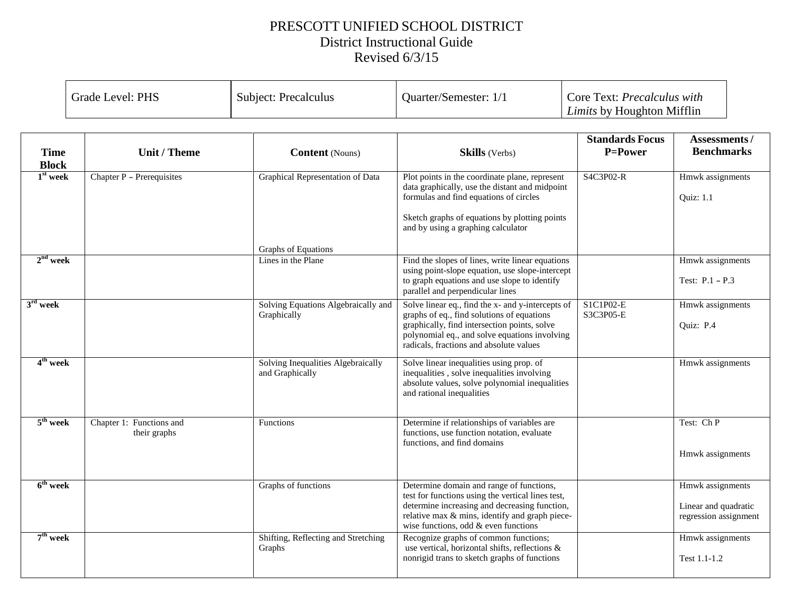## PRESCOTT UNIFIED SCHOOL DISTRICT District Instructional Guide Revised 6/3/15

|  | Grade Level: PHS | Subject: Precalculus | Quarter/Semester: 1/1 | Core Text: <i>Precalculus with</i><br><i>Limits</i> by Houghton Mifflin |
|--|------------------|----------------------|-----------------------|-------------------------------------------------------------------------|
|--|------------------|----------------------|-----------------------|-------------------------------------------------------------------------|

| <b>Time</b>                | Unit / Theme                             | <b>Content</b> (Nouns)                                | <b>Skills</b> (Verbs)                                                                                                                                                                                                                       | <b>Standards Focus</b><br>P=Power | Assessments/<br><b>Benchmarks</b>                                 |
|----------------------------|------------------------------------------|-------------------------------------------------------|---------------------------------------------------------------------------------------------------------------------------------------------------------------------------------------------------------------------------------------------|-----------------------------------|-------------------------------------------------------------------|
| <b>Block</b><br>$1st$ week | Chapter P - Prerequisites                | Graphical Representation of Data                      | Plot points in the coordinate plane, represent<br>data graphically, use the distant and midpoint<br>formulas and find equations of circles<br>Sketch graphs of equations by plotting points<br>and by using a graphing calculator           | S4C3P02-R                         | Hmwk assignments<br>Quiz: 1.1                                     |
|                            |                                          | Graphs of Equations                                   |                                                                                                                                                                                                                                             |                                   |                                                                   |
| $2nd$ week                 |                                          | Lines in the Plane                                    | Find the slopes of lines, write linear equations<br>using point-slope equation, use slope-intercept<br>to graph equations and use slope to identify<br>parallel and perpendicular lines                                                     |                                   | Hmwk assignments<br>Test: $P.1 - P.3$                             |
| $3rd$ week                 |                                          | Solving Equations Algebraically and<br>Graphically    | Solve linear eq., find the x- and y-intercepts of<br>graphs of eq., find solutions of equations<br>graphically, find intersection points, solve<br>polynomial eq., and solve equations involving<br>radicals, fractions and absolute values | S1C1P02-E<br>S3C3P05-E            | Hmwk assignments<br>Ouiz: P.4                                     |
| $4th$ week                 |                                          | Solving Inequalities Algebraically<br>and Graphically | Solve linear inequalities using prop. of<br>inequalities, solve inequalities involving<br>absolute values, solve polynomial inequalities<br>and rational inequalities                                                                       |                                   | Hmwk assignments                                                  |
| $5th$ week                 | Chapter 1: Functions and<br>their graphs | Functions                                             | Determine if relationships of variables are<br>functions, use function notation, evaluate<br>functions, and find domains                                                                                                                    |                                   | Test: Ch P<br>Hmwk assignments                                    |
| $6th$ week                 |                                          | Graphs of functions                                   | Determine domain and range of functions,<br>test for functions using the vertical lines test,<br>determine increasing and decreasing function,<br>relative max & mins, identify and graph piece-<br>wise functions, odd & even functions    |                                   | Hmwk assignments<br>Linear and quadratic<br>regression assignment |
| $7th$ week                 |                                          | Shifting, Reflecting and Stretching<br>Graphs         | Recognize graphs of common functions;<br>use vertical, horizontal shifts, reflections &<br>nonrigid trans to sketch graphs of functions                                                                                                     |                                   | Hmwk assignments<br>Test 1.1-1.2                                  |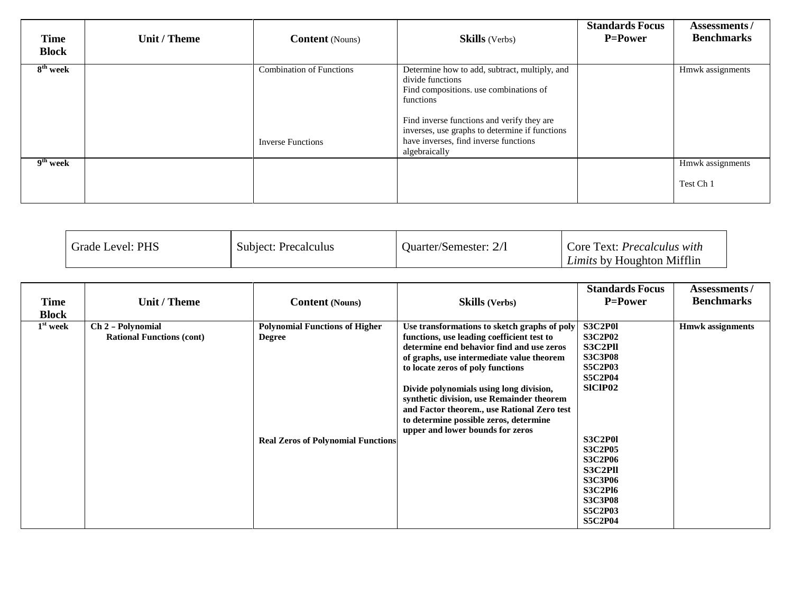| <b>Time</b><br><b>Block</b> | Unit / Theme | <b>Content</b> (Nouns)                                      | <b>Skills</b> (Verbs)                                                                                                                                                                                                                                                              | <b>Standards Focus</b><br><b>P=Power</b> | Assessments/<br><b>Benchmarks</b> |
|-----------------------------|--------------|-------------------------------------------------------------|------------------------------------------------------------------------------------------------------------------------------------------------------------------------------------------------------------------------------------------------------------------------------------|------------------------------------------|-----------------------------------|
| 8 <sup>th</sup> week        |              | <b>Combination of Functions</b><br><b>Inverse Functions</b> | Determine how to add, subtract, multiply, and<br>divide functions<br>Find compositions. use combinations of<br>functions<br>Find inverse functions and verify they are<br>inverses, use graphs to determine if functions<br>have inverses, find inverse functions<br>algebraically |                                          | Hmwk assignments                  |
| 9 <sup>th</sup> week        |              |                                                             |                                                                                                                                                                                                                                                                                    |                                          | Hmwk assignments<br>Test Ch 1     |

| Grade Level: PHS | Subject: Precalculus | <b>Ouarter/Semester: 2/1</b> | Core Text: <i>Precalculus with</i><br><i>Limits</i> by Houghton Mifflin |
|------------------|----------------------|------------------------------|-------------------------------------------------------------------------|
|------------------|----------------------|------------------------------|-------------------------------------------------------------------------|

| <b>Time</b><br><b>Block</b> | <b>Unit / Theme</b>                                   | <b>Content</b> (Nouns)                                                                              | <b>Skills</b> (Verbs)                                                                                                                                                                                                                                                                                                                                                                                                                          | <b>Standards Focus</b><br><b>P=Power</b>                                                                                                                                                                                                                                       | <b>Assessments/</b><br><b>Benchmarks</b> |
|-----------------------------|-------------------------------------------------------|-----------------------------------------------------------------------------------------------------|------------------------------------------------------------------------------------------------------------------------------------------------------------------------------------------------------------------------------------------------------------------------------------------------------------------------------------------------------------------------------------------------------------------------------------------------|--------------------------------------------------------------------------------------------------------------------------------------------------------------------------------------------------------------------------------------------------------------------------------|------------------------------------------|
| $1st$ week                  | Ch 2 - Polynomial<br><b>Rational Functions (cont)</b> | <b>Polynomial Functions of Higher</b><br><b>Degree</b><br><b>Real Zeros of Polynomial Functions</b> | Use transformations to sketch graphs of poly<br>functions, use leading coefficient test to<br>determine end behavior find and use zeros<br>of graphs, use intermediate value theorem<br>to locate zeros of poly functions<br>Divide polynomials using long division,<br>synthetic division, use Remainder theorem<br>and Factor theorem., use Rational Zero test<br>to determine possible zeros, determine<br>upper and lower bounds for zeros | <b>S3C2P01</b><br><b>S3C2P02</b><br>S3C2Pll<br><b>S3C3P08</b><br><b>S5C2P03</b><br><b>S5C2P04</b><br><b>SICIP02</b><br><b>S3C2P01</b><br><b>S3C2P05</b><br><b>S3C2P06</b><br>S3C2Pll<br><b>S3C3P06</b><br><b>S3C2P16</b><br><b>S3C3P08</b><br><b>S5C2P03</b><br><b>S5C2P04</b> | <b>Hmwk</b> assignments                  |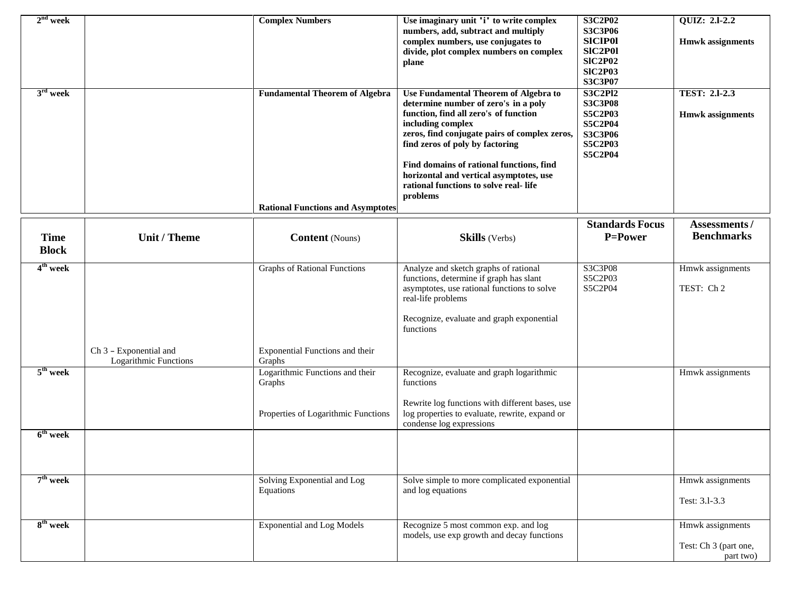| $2nd$ week<br>$3rd$ week    |                                                 | <b>Complex Numbers</b><br><b>Fundamental Theorem of Algebra</b>                  | Use imaginary unit 'i' to write complex<br>numbers, add, subtract and multiply<br>complex numbers, use conjugates to<br>divide, plot complex numbers on complex<br>plane<br>Use Fundamental Theorem of Algebra to<br>determine number of zero's in a poly<br>function, find all zero's of function<br>including complex<br>zeros, find conjugate pairs of complex zeros,<br>find zeros of poly by factoring<br>Find domains of rational functions, find<br>horizontal and vertical asymptotes, use<br>rational functions to solve real-life<br>problems | <b>S3C2P02</b><br><b>S3C3P06</b><br><b>SICIP01</b><br><b>SIC2P01</b><br><b>SIC2P02</b><br><b>SIC2P03</b><br>S3C3P07<br><b>S3C2Pl2</b><br><b>S3C3P08</b><br><b>S5C2P03</b><br><b>S5C2P04</b><br><b>S3C3P06</b><br><b>S5C2P03</b><br><b>S5C2P04</b> | <b>QUIZ: 2.1-2.2</b><br><b>Hmwk</b> assignments<br><b>TEST: 2.1-2.3</b><br><b>Hmwk</b> assignments |
|-----------------------------|-------------------------------------------------|----------------------------------------------------------------------------------|---------------------------------------------------------------------------------------------------------------------------------------------------------------------------------------------------------------------------------------------------------------------------------------------------------------------------------------------------------------------------------------------------------------------------------------------------------------------------------------------------------------------------------------------------------|---------------------------------------------------------------------------------------------------------------------------------------------------------------------------------------------------------------------------------------------------|----------------------------------------------------------------------------------------------------|
|                             |                                                 | <b>Rational Functions and Asymptotes</b>                                         |                                                                                                                                                                                                                                                                                                                                                                                                                                                                                                                                                         |                                                                                                                                                                                                                                                   |                                                                                                    |
| <b>Time</b><br><b>Block</b> | Unit / Theme                                    | <b>Content</b> (Nouns)                                                           | <b>Skills</b> (Verbs)                                                                                                                                                                                                                                                                                                                                                                                                                                                                                                                                   | <b>Standards Focus</b><br>P=Power                                                                                                                                                                                                                 | <b>Assessments/</b><br><b>Benchmarks</b>                                                           |
| 4 <sup>th</sup> week        |                                                 | <b>Graphs of Rational Functions</b>                                              | Analyze and sketch graphs of rational                                                                                                                                                                                                                                                                                                                                                                                                                                                                                                                   | S3C3P08                                                                                                                                                                                                                                           | Hmwk assignments                                                                                   |
|                             |                                                 |                                                                                  | functions, determine if graph has slant<br>asymptotes, use rational functions to solve<br>real-life problems<br>Recognize, evaluate and graph exponential<br>functions                                                                                                                                                                                                                                                                                                                                                                                  | S5C2P03<br>S5C2P04                                                                                                                                                                                                                                | TEST: Ch 2                                                                                         |
|                             | Ch 3 - Exponential and<br>Logarithmic Functions | Exponential Functions and their<br>Graphs                                        |                                                                                                                                                                                                                                                                                                                                                                                                                                                                                                                                                         |                                                                                                                                                                                                                                                   |                                                                                                    |
| $5th$ week                  |                                                 | Logarithmic Functions and their<br>Graphs<br>Properties of Logarithmic Functions | Recognize, evaluate and graph logarithmic<br>functions<br>Rewrite log functions with different bases, use<br>log properties to evaluate, rewrite, expand or<br>condense log expressions                                                                                                                                                                                                                                                                                                                                                                 |                                                                                                                                                                                                                                                   | Hmwk assignments                                                                                   |
| $6th$ week                  |                                                 |                                                                                  |                                                                                                                                                                                                                                                                                                                                                                                                                                                                                                                                                         |                                                                                                                                                                                                                                                   |                                                                                                    |
| $7th$ week                  |                                                 | Solving Exponential and Log<br>Equations                                         | Solve simple to more complicated exponential<br>and log equations                                                                                                                                                                                                                                                                                                                                                                                                                                                                                       |                                                                                                                                                                                                                                                   | Hmwk assignments<br>Test: 3.1-3.3                                                                  |
| 8 <sup>th</sup> week        |                                                 | <b>Exponential and Log Models</b>                                                | Recognize 5 most common exp. and log<br>models, use exp growth and decay functions                                                                                                                                                                                                                                                                                                                                                                                                                                                                      |                                                                                                                                                                                                                                                   | Hmwk assignments<br>Test: Ch 3 (part one,<br>part two)                                             |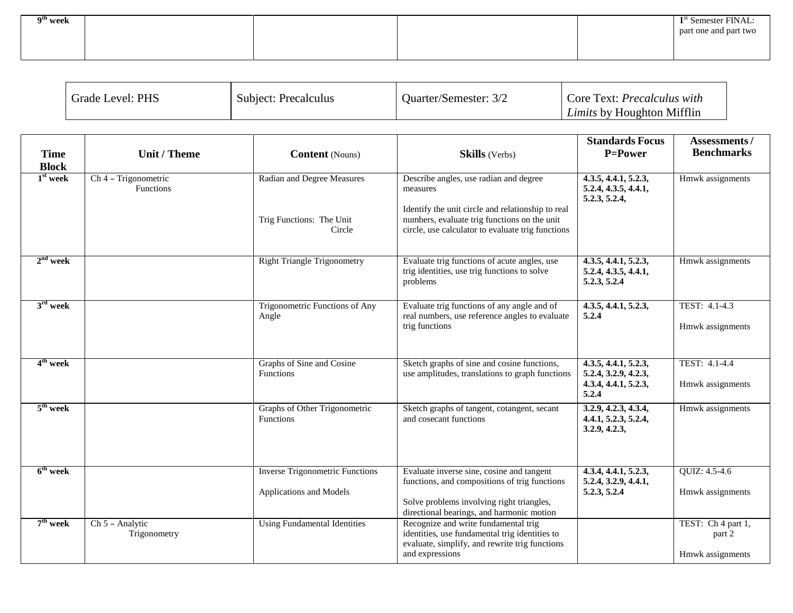| 9 <sup>th</sup> week |  | $1st$ Semester FINAL: |
|----------------------|--|-----------------------|
|                      |  | part one and part two |
|                      |  |                       |
|                      |  |                       |

| <b>Grade Level: PHS</b> | <b>Subject: Precalculus</b> | Ouarter/Semester: | Core Text: <i>Precalculus with</i> |
|-------------------------|-----------------------------|-------------------|------------------------------------|
|                         |                             |                   | <i>Limits</i> by Houghton Mifflin  |

| <b>Time</b><br><b>Block</b> | Unit / Theme                                          | <b>Content</b> (Nouns)                                            | <b>Skills</b> (Verbs)                                                                                                                                                                                        | <b>Standards Focus</b><br>P=Power                                                          | Assessments/<br><b>Benchmarks</b>                |
|-----------------------------|-------------------------------------------------------|-------------------------------------------------------------------|--------------------------------------------------------------------------------------------------------------------------------------------------------------------------------------------------------------|--------------------------------------------------------------------------------------------|--------------------------------------------------|
| $1st$ week                  | $\overline{Ch 4}$ - Trigonometric<br><b>Functions</b> | Radian and Degree Measures<br>Trig Functions: The Unit<br>Circle  | Describe angles, use radian and degree<br>measures<br>Identify the unit circle and relationship to real<br>numbers, evaluate trig functions on the unit<br>circle, use calculator to evaluate trig functions | 4.3.5, 4.4.1, 5.2.3,<br>5.2.4, 4.3.5, 4.4.1,<br>5.2.3, 5.2.4,                              | Hmwk assignments                                 |
| $2nd$ week                  |                                                       | <b>Right Triangle Trigonometry</b>                                | Evaluate trig functions of acute angles, use<br>trig identities, use trig functions to solve<br>problems                                                                                                     | 4.3.5, 4.4.1, 5.2.3,<br>5.2.4, 4.3.5, 4.4.1,<br>5.2.3, 5.2.4                               | Hmwk assignments                                 |
| $3rd$ week                  |                                                       | Trigonometric Functions of Any<br>Angle                           | Evaluate trig functions of any angle and of<br>real numbers, use reference angles to evaluate<br>trig functions                                                                                              | 4.3.5, 4.4.1, 5.2.3,<br>5.2.4                                                              | TEST: 4.1-4.3<br>Hmwk assignments                |
| 4 <sup>th</sup> week        |                                                       | Graphs of Sine and Cosine<br>Functions                            | Sketch graphs of sine and cosine functions,<br>use amplitudes, translations to graph functions                                                                                                               | $\overline{4.3.5, 4.4.1, 5.2.3},$<br>5.2.4, 3.2.9, 4.2.3,<br>4.3.4, 4.4.1, 5.2.3,<br>5.2.4 | TEST: 4.1-4.4<br>Hmwk assignments                |
| $5th$ week                  |                                                       | Graphs of Other Trigonometric<br>Functions                        | Sketch graphs of tangent, cotangent, secant<br>and cosecant functions                                                                                                                                        | 3.2.9, 4.2.3, 4.3.4,<br>4.4.1, 5.2.3, 5.2.4,<br>3.2.9, 4.2.3,                              | Hmwk assignments                                 |
| $6th$ week                  |                                                       | <b>Inverse</b> Trigonometric Functions<br>Applications and Models | Evaluate inverse sine, cosine and tangent<br>functions, and compositions of trig functions<br>Solve problems involving right triangles,<br>directional bearings, and harmonic motion                         | 4.3.4, 4.4.1, 5.2.3,<br>5.2.4, 3.2.9, 4.4.1,<br>5.2.3, 5.2.4                               | QUIZ: 4.5-4.6<br>Hmwk assignments                |
| $7th$ week                  | Ch 5 - Analytic<br>Trigonometry                       | <b>Using Fundamental Identities</b>                               | Recognize and write fundamental trig<br>identities, use fundamental trig identities to<br>evaluate, simplify, and rewrite trig functions<br>and expressions                                                  |                                                                                            | TEST: Ch 4 part 1,<br>part 2<br>Hmwk assignments |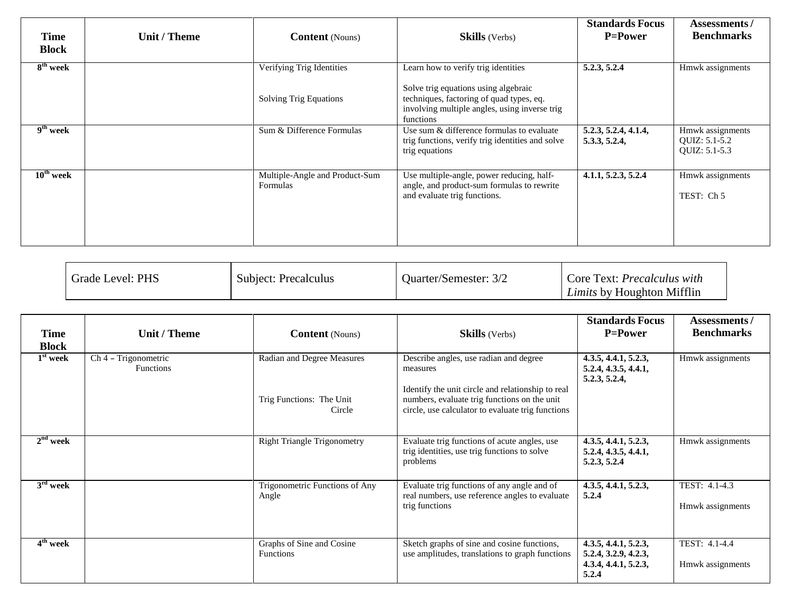| <b>Time</b><br><b>Block</b> | <b>Unit / Theme</b> | <b>Content</b> (Nouns)                                     | <b>Skills</b> (Verbs)                                                                                                                                                                 | <b>Standards Focus</b><br><b>P=Power</b> | Assessments /<br><b>Benchmarks</b>                 |
|-----------------------------|---------------------|------------------------------------------------------------|---------------------------------------------------------------------------------------------------------------------------------------------------------------------------------------|------------------------------------------|----------------------------------------------------|
| $8th$ week                  |                     | Verifying Trig Identities<br><b>Solving Trig Equations</b> | Learn how to verify trig identities<br>Solve trig equations using algebraic<br>techniques, factoring of quad types, eq.<br>involving multiple angles, using inverse trig<br>functions | 5.2.3, 5.2.4                             | Hmwk assignments                                   |
| $9th$ week                  |                     | Sum & Difference Formulas                                  | Use sum & difference formulas to evaluate<br>trig functions, verify trig identities and solve<br>trig equations                                                                       | 5.2.3, 5.2.4, 4.1.4,<br>5.3.3, 5.2.4,    | Hmwk assignments<br>QUIZ: 5.1-5.2<br>QUIZ: 5.1-5.3 |
| $10th$ week                 |                     | Multiple-Angle and Product-Sum<br>Formulas                 | Use multiple-angle, power reducing, half-<br>angle, and product-sum formulas to rewrite<br>and evaluate trig functions.                                                               | 4.1.1, 5.2.3, 5.2.4                      | Hmwk assignments<br>TEST: Ch 5                     |

| <b>Grade Level: PHS</b> | Subject: Precalculus | <b>Ouarter/Semester: 3/2</b> | Core Text: <i>Precalculus with</i><br><i>Limits</i> by Houghton Mifflin |
|-------------------------|----------------------|------------------------------|-------------------------------------------------------------------------|
|-------------------------|----------------------|------------------------------|-------------------------------------------------------------------------|

| Time<br><b>Block</b> | Unit / Theme                             | <b>Content</b> (Nouns)                                           | <b>Skills</b> (Verbs)                                                                                                                                                                                        | <b>Standards Focus</b><br><b>P=Power</b>                                      | <b>Assessments/</b><br><b>Benchmarks</b> |
|----------------------|------------------------------------------|------------------------------------------------------------------|--------------------------------------------------------------------------------------------------------------------------------------------------------------------------------------------------------------|-------------------------------------------------------------------------------|------------------------------------------|
| $1st$ week           | Ch 4 - Trigonometric<br><b>Functions</b> | Radian and Degree Measures<br>Trig Functions: The Unit<br>Circle | Describe angles, use radian and degree<br>measures<br>Identify the unit circle and relationship to real<br>numbers, evaluate trig functions on the unit<br>circle, use calculator to evaluate trig functions | 4.3.5, 4.4.1, 5.2.3,<br>5.2.4, 4.3.5, 4.4.1,<br>5.2.3, 5.2.4,                 | Hmwk assignments                         |
| $2nd$ week           |                                          | <b>Right Triangle Trigonometry</b>                               | Evaluate trig functions of acute angles, use<br>trig identities, use trig functions to solve<br>problems                                                                                                     | 4.3.5, 4.4.1, 5.2.3,<br>5.2.4, 4.3.5, 4.4.1,<br>5.2.3, 5.2.4                  | Hmwk assignments                         |
| $3rd$ week           |                                          | Trigonometric Functions of Any<br>Angle                          | Evaluate trig functions of any angle and of<br>real numbers, use reference angles to evaluate<br>trig functions                                                                                              | 4.3.5, 4.4.1, 5.2.3,<br>5.2.4                                                 | TEST: 4.1-4.3<br>Hmwk assignments        |
| 4 <sup>th</sup> week |                                          | Graphs of Sine and Cosine<br><b>Functions</b>                    | Sketch graphs of sine and cosine functions,<br>use amplitudes, translations to graph functions                                                                                                               | 4.3.5, 4.4.1, 5.2.3,<br>5.2.4, 3.2.9, 4.2.3,<br>4.3.4, 4.4.1, 5.2.3,<br>5.2.4 | TEST: 4.1-4.4<br>Hmwk assignments        |